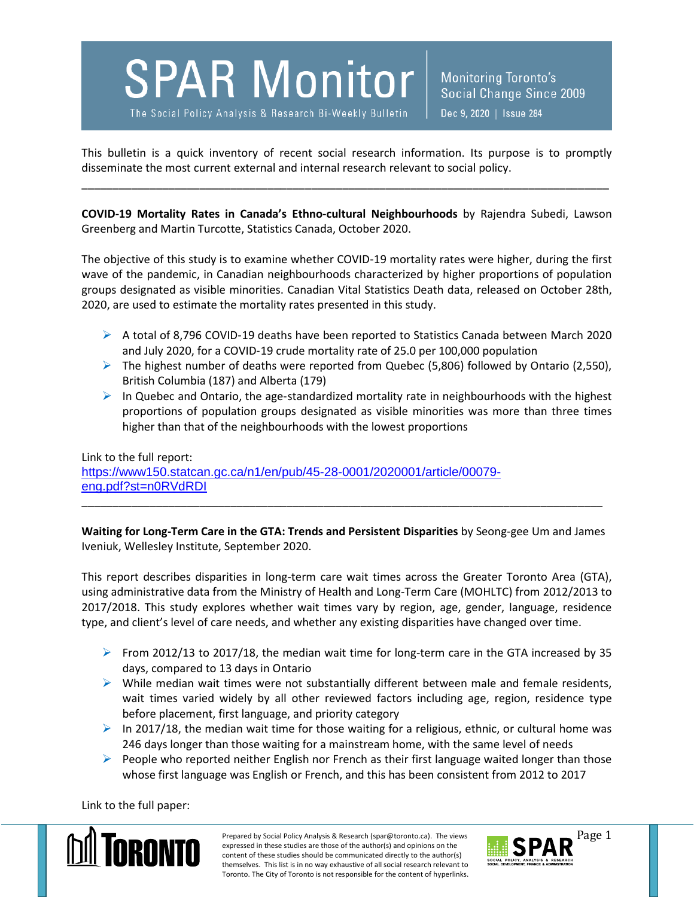## **SPAR Monitor**

The Social Policy Analysis & Research Bi-Weekly Bulletin

Monitoring Toronto's Social Change Since 2009 Dec 9, 2020 | Issue 284

This bulletin is a quick inventory of recent social research information. Its purpose is to promptly disseminate the most current external and internal research relevant to social policy.

\_\_\_\_\_\_\_\_\_\_\_\_\_\_\_\_\_\_\_\_\_\_\_\_\_\_\_\_\_\_\_\_\_\_\_\_\_\_\_\_\_\_\_\_\_\_\_\_\_\_\_\_\_\_\_\_\_\_\_\_\_\_\_\_\_\_\_\_\_\_\_\_\_\_\_\_\_\_\_\_\_\_\_\_\_

**COVID-19 Mortality Rates in Canada's Ethno-cultural Neighbourhoods** by Rajendra Subedi, Lawson Greenberg and Martin Turcotte, Statistics Canada, October 2020.

The objective of this study is to examine whether COVID-19 mortality rates were higher, during the first wave of the pandemic, in Canadian neighbourhoods characterized by higher proportions of population groups designated as visible minorities. Canadian Vital Statistics Death data, released on October 28th, 2020, are used to estimate the mortality rates presented in this study.

- $\triangleright$  A total of 8,796 COVID-19 deaths have been reported to Statistics Canada between March 2020 and July 2020, for a COVID‑19 crude mortality rate of 25.0 per 100,000 population
- The highest number of deaths were reported from Quebec (5,806) followed by Ontario (2,550), British Columbia (187) and Alberta (179)
- $\triangleright$  In Quebec and Ontario, the age-standardized mortality rate in neighbourhoods with the highest proportions of population groups designated as visible minorities was more than three times higher than that of the neighbourhoods with the lowest proportions

Link to the full report: [https://www150.statcan.gc.ca/n1/en/pub/45-28-0001/2020001/article/00079](https://www150.statcan.gc.ca/n1/en/pub/45-28-0001/2020001/article/00079-eng.pdf?st=n0RVdRDI) [eng.pdf?st=n0RVdRDI](https://www150.statcan.gc.ca/n1/en/pub/45-28-0001/2020001/article/00079-eng.pdf?st=n0RVdRDI)

**Waiting for Long-Term Care in the GTA: Trends and Persistent Disparities** by Seong-gee Um and James Iveniuk, Wellesley Institute, September 2020.

\_\_\_\_\_\_\_\_\_\_\_\_\_\_\_\_\_\_\_\_\_\_\_\_\_\_\_\_\_\_\_\_\_\_\_\_\_\_\_\_\_\_\_\_\_\_\_\_\_\_\_\_\_\_\_\_\_\_\_\_\_\_\_\_\_\_\_\_\_\_\_\_\_\_\_\_\_\_\_\_\_\_\_\_

This report describes disparities in long-term care wait times across the Greater Toronto Area (GTA), using administrative data from the Ministry of Health and Long-Term Care (MOHLTC) from 2012/2013 to 2017/2018. This study explores whether wait times vary by region, age, gender, language, residence type, and client's level of care needs, and whether any existing disparities have changed over time.

- From 2012/13 to 2017/18, the median wait time for long-term care in the GTA increased by 35 days, compared to 13 days in Ontario
- $\triangleright$  While median wait times were not substantially different between male and female residents, wait times varied widely by all other reviewed factors including age, region, residence type before placement, first language, and priority category
- $\triangleright$  In 2017/18, the median wait time for those waiting for a religious, ethnic, or cultural home was 246 days longer than those waiting for a mainstream home, with the same level of needs
- $\triangleright$  People who reported neither English nor French as their first language waited longer than those whose first language was English or French, and this has been consistent from 2012 to 2017

Link to the full paper:



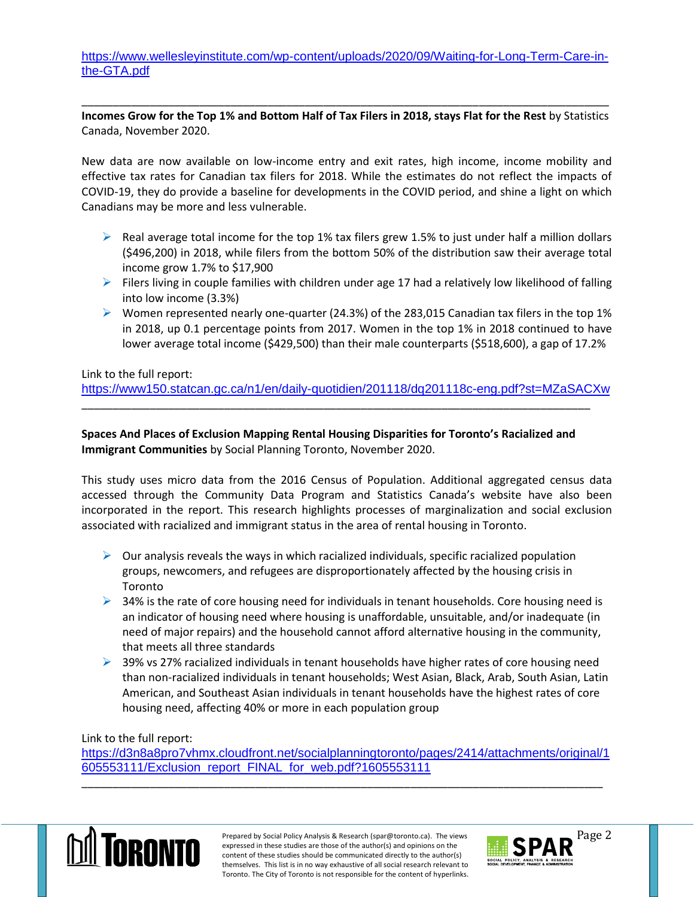[https://www.wellesleyinstitute.com/wp-content/uploads/2020/09/Waiting-for-Long-Term-Care-in](https://www.wellesleyinstitute.com/wp-content/uploads/2020/09/Waiting-for-Long-Term-Care-in-the-GTA.pdf)[the-GTA.pdf](https://www.wellesleyinstitute.com/wp-content/uploads/2020/09/Waiting-for-Long-Term-Care-in-the-GTA.pdf)

\_\_\_\_\_\_\_\_\_\_\_\_\_\_\_\_\_\_\_\_\_\_\_\_\_\_\_\_\_\_\_\_\_\_\_\_\_\_\_\_\_\_\_\_\_\_\_\_\_\_\_\_\_\_\_\_\_\_\_\_\_\_\_\_\_\_\_\_\_\_\_\_\_\_\_\_\_\_\_\_\_\_\_\_\_ **Incomes Grow for the Top 1% and Bottom Half of Tax Filers in 2018, stays Flat for the Rest** by Statistics Canada, November 2020.

New data are now available on low-income entry and exit rates, high income, income mobility and effective tax rates for Canadian tax filers for 2018. While the estimates do not reflect the impacts of COVID-19, they do provide a baseline for developments in the COVID period, and shine a light on which Canadians may be more and less vulnerable.

- $\triangleright$  Real average total income for the top 1% tax filers grew 1.5% to just under half a million dollars (\$496,200) in 2018, while filers from the bottom 50% of the distribution saw their average total income grow 1.7% to \$17,900
- $\triangleright$  Filers living in couple families with children under age 17 had a relatively low likelihood of falling into low income (3.3%)
- $\triangleright$  Women represented nearly one-quarter (24.3%) of the 283,015 Canadian tax filers in the top 1% in 2018, up 0.1 percentage points from 2017. Women in the top 1% in 2018 continued to have lower average total income (\$429,500) than their male counterparts (\$518,600), a gap of 17.2%

Link to the full report:

<https://www150.statcan.gc.ca/n1/en/daily-quotidien/201118/dq201118c-eng.pdf?st=MZaSACXw>

**Spaces And Places of Exclusion Mapping Rental Housing Disparities for Toronto's Racialized and Immigrant Communities** by Social Planning Toronto, November 2020.

\_\_\_\_\_\_\_\_\_\_\_\_\_\_\_\_\_\_\_\_\_\_\_\_\_\_\_\_\_\_\_\_\_\_\_\_\_\_\_\_\_\_\_\_\_\_\_\_\_\_\_\_\_\_\_\_\_\_\_\_\_\_\_\_\_\_\_\_\_\_\_\_\_\_\_\_\_\_\_\_\_\_

This study uses micro data from the 2016 Census of Population. Additional aggregated census data accessed through the Community Data Program and Statistics Canada's website have also been incorporated in the report. This research highlights processes of marginalization and social exclusion associated with racialized and immigrant status in the area of rental housing in Toronto.

- $\triangleright$  Our analysis reveals the ways in which racialized individuals, specific racialized population groups, newcomers, and refugees are disproportionately affected by the housing crisis in Toronto
- $\triangleright$  34% is the rate of core housing need for individuals in tenant households. Core housing need is an indicator of housing need where housing is unaffordable, unsuitable, and/or inadequate (in need of major repairs) and the household cannot afford alternative housing in the community, that meets all three standards
- $\triangleright$  39% vs 27% racialized individuals in tenant households have higher rates of core housing need than non-racialized individuals in tenant households; West Asian, Black, Arab, South Asian, Latin American, and Southeast Asian individuals in tenant households have the highest rates of core housing need, affecting 40% or more in each population group

Link to the full report:

[https://d3n8a8pro7vhmx.cloudfront.net/socialplanningtoronto/pages/2414/attachments/original/1](https://d3n8a8pro7vhmx.cloudfront.net/socialplanningtoronto/pages/2414/attachments/original/1605553111/Exclusion_report_FINAL_for_web.pdf?1605553111) [605553111/Exclusion\\_report\\_FINAL\\_for\\_web.pdf?1605553111](https://d3n8a8pro7vhmx.cloudfront.net/socialplanningtoronto/pages/2414/attachments/original/1605553111/Exclusion_report_FINAL_for_web.pdf?1605553111)

\_\_\_\_\_\_\_\_\_\_\_\_\_\_\_\_\_\_\_\_\_\_\_\_\_\_\_\_\_\_\_\_\_\_\_\_\_\_\_\_\_\_\_\_\_\_\_\_\_\_\_\_\_\_\_\_\_\_\_\_\_\_\_\_\_\_\_\_\_\_\_\_\_\_\_\_\_\_\_\_\_\_\_\_



Prepared by Social Policy Analysis & Research (spar@toronto.ca). The views Page 2 expressed in these studies are those of the author(s) and opinions on the content of these studies should be communicated directly to the author(s) themselves. This list is in no way exhaustive of all social research relevant to Toronto. The City of Toronto is not responsible for the content of hyperlinks.